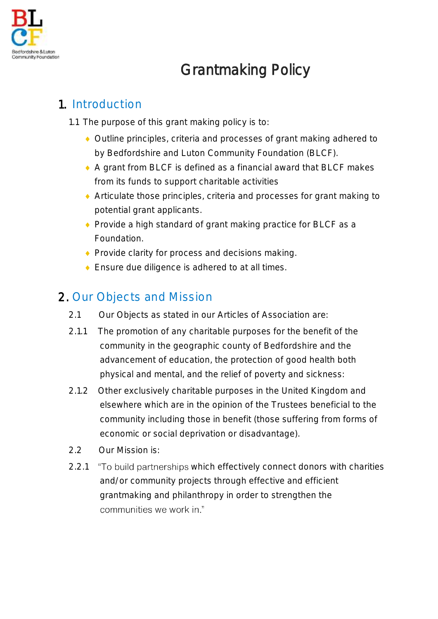

# Grantmaking Policy

# 1. Introduction

- 1.1 The purpose of this grant making policy is to:
	- Outline principles, criteria and processes of grant making adhered to by Bedfordshire and Luton Community Foundation (BLCF).
	- A grant from BLCF is defined as a financial award that BLCF makes from its funds to support charitable activities
	- Articulate those principles, criteria and processes for grant making to potential grant applicants.
	- ◆ Provide a high standard of grant making practice for BLCF as a Foundation.
	- ◆ Provide clarity for process and decisions making.
	- ◆ Ensure due diligence is adhered to at all times.

# 2. Our Objects and Mission

- 2.1 Our Objects as stated in our Articles of Association are:
- 2.1.1 The promotion of any charitable purposes for the benefit of the community in the geographic county of Bedfordshire and the advancement of education, the protection of good health both physical and mental, and the relief of poverty and sickness:
- 2.1.2 Other exclusively charitable purposes in the United Kingdom and elsewhere which are in the opinion of the Trustees beneficial to the community including those in benefit (those suffering from forms of economic or social deprivation or disadvantage).
- 2.2 Our Mission is:
- 2.2.1 "To build partnerships which effectively connect donors with charities and/or community projects through effective and efficient grantmaking and philanthropy in order to strengthen the communities we work in."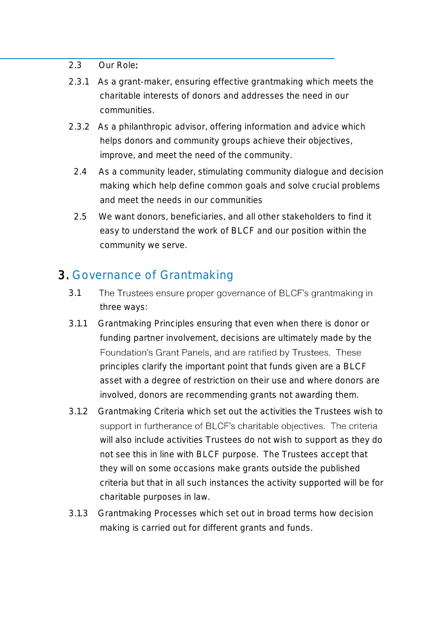#### 2.3 Our Role:

- 2.3.1 As a grant-maker, ensuring effective grantmaking which meets the charitable interests of donors and addresses the need in our communities.
- 2.3.2 As a philanthropic advisor, offering information and advice which helps donors and community groups achieve their objectives, improve, and meet the need of the community.
	- 2.4 As a community leader, stimulating community dialogue and decision making which help define common goals and solve crucial problems and meet the needs in our communities
	- 2.5 We want donors, beneficiaries, and all other stakeholders to find it easy to understand the work of BLCF and our position within the community we serve.

#### 3. Governance of Grantmaking

- 3.1 The Trustees ensure proper governance of BLCF's grantmaking in three ways:
- 3.1.1 Grantmaking Principles ensuring that even when there is donor or funding partner involvement, decisions are ultimately made by the Foundation's Grant Panels, and are ratified by Trustees. These principles clarify the important point that funds given are a BLCF asset with a degree of restriction on their use and where donors are involved, donors are recommending grants not awarding them.
- 3.1.2 Grantmaking Criteria which set out the activities the Trustees wish to support in furtherance of BLCF's charitable objectives. The criteria will also include activities Trustees do not wish to support as they do not see this in line with BLCF purpose. The Trustees accept that they will on some occasions make grants outside the published criteria but that in all such instances the activity supported will be for charitable purposes in law.
- 3.1.3 Grantmaking Processes which set out in broad terms how decision making is carried out for different grants and funds.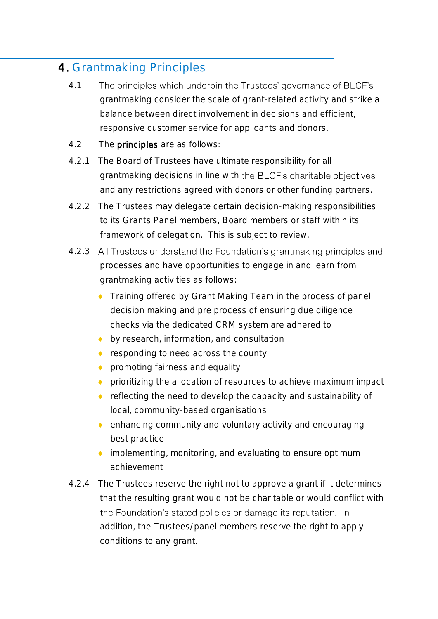# 4. Grantmaking Principles

- 4.1 The principles which underpin the Trustees' governance of BLCF's grantmaking consider the scale of grant-related activity and strike a balance between direct involvement in decisions and efficient, responsive customer service for applicants and donors.
- 4.2 The principles are as follows:
- 4.2.1 The Board of Trustees have ultimate responsibility for all grantmaking decisions in line with the BLCF's charitable objectives and any restrictions agreed with donors or other funding partners.
- 4.2.2 The Trustees may delegate certain decision-making responsibilities to its Grants Panel members, Board members or staff within its framework of delegation. This is subject to review.
- 4.2.3 All Trustees understand the Foundation's grantmaking principles and processes and have opportunities to engage in and learn from grantmaking activities as follows:
	- Training offered by Grant Making Team in the process of panel decision making and pre process of ensuring due diligence checks via the dedicated CRM system are adhered to
	- by research, information, and consultation
	- ◆ responding to need across the county
	- **promoting fairness and equality**
	- prioritizing the allocation of resources to achieve maximum impact
	- ◆ reflecting the need to develop the capacity and sustainability of local, community-based organisations
	- enhancing community and voluntary activity and encouraging best practice
	- ◆ implementing, monitoring, and evaluating to ensure optimum achievement
- 4.2.4 The Trustees reserve the right not to approve a grant if it determines that the resulting grant would not be charitable or would conflict with the Foundation's stated policies or damage its reputation. In addition, the Trustees/panel members reserve the right to apply conditions to any grant.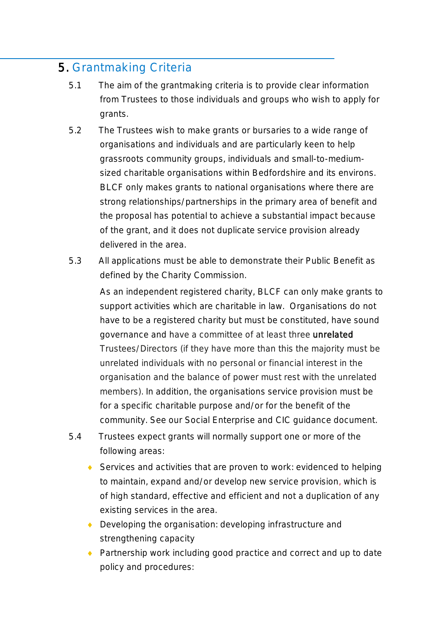### 5. Grantmaking Criteria

- 5.1 The aim of the grantmaking criteria is to provide clear information from Trustees to those individuals and groups who wish to apply for grants.
- 5.2 The Trustees wish to make grants or bursaries to a wide range of organisations and individuals and are particularly keen to help grassroots community groups, individuals and small-to-mediumsized charitable organisations within Bedfordshire and its environs. BLCF only makes grants to national organisations where there are strong relationships/partnerships in the primary area of benefit and the proposal has potential to achieve a substantial impact because of the grant, and it does not duplicate service provision already delivered in the area.
- 5.3 All applications must be able to demonstrate their Public Benefit as defined by the Charity Commission.

As an independent registered charity, BLCF can only make grants to support activities which are charitable in law. Organisations do not have to be a registered charity but must be constituted, have sound governance and have a committee of at least three unrelated Trustees/Directors (if they have more than this the majority must be unrelated individuals with no personal or financial interest in the organisation and the balance of power must rest with the unrelated members). In addition, the organisations service provision must be for a specific charitable purpose and/or for the benefit of the community. See our Social Enterprise and CIC guidance document.

- 5.4 Trustees expect grants will normally support one or more of the following areas:
	- ◆ Services and activities that are proven to work: evidenced to helping to maintain, expand and/or develop new service provision, which is of high standard, effective and efficient and not a duplication of any existing services in the area.
	- ◆ Developing the organisation: developing infrastructure and strengthening capacity
	- ◆ Partnership work including good practice and correct and up to date policy and procedures: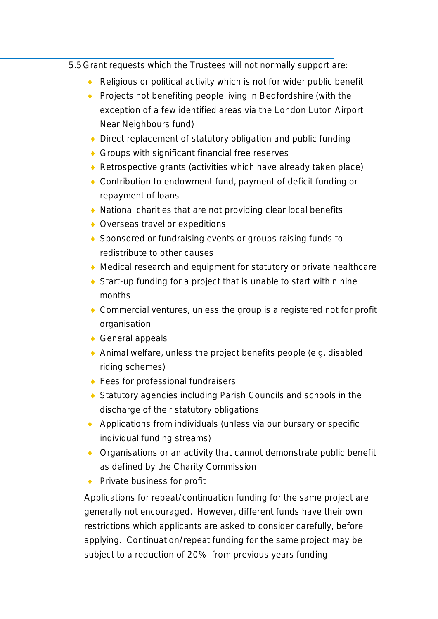5.5Grant requests which the Trustees will not normally support are:

- Religious or political activity which is not for wider public benefit
- ◆ Projects not benefiting people living in Bedfordshire (with the exception of a few identified areas via the London Luton Airport Near Neighbours fund)
- ◆ Direct replacement of statutory obligation and public funding
- ◆ Groups with significant financial free reserves
- ◆ Retrospective grants (activities which have already taken place)
- ◆ Contribution to endowment fund, payment of deficit funding or repayment of loans
- ◆ National charities that are not providing clear local benefits
- ◆ Overseas travel or expeditions
- ◆ Sponsored or fundraising events or groups raising funds to redistribute to other causes
- Medical research and equipment for statutory or private healthcare
- ◆ Start-up funding for a project that is unable to start within nine months
- ◆ Commercial ventures, unless the group is a registered not for profit organisation
- ◆ General appeals
- Animal welfare, unless the project benefits people (e.g. disabled riding schemes)
- ◆ Fees for professional fundraisers
- Statutory agencies including Parish Councils and schools in the discharge of their statutory obligations
- ◆ Applications from individuals (unless via our bursary or specific individual funding streams)
- ◆ Organisations or an activity that cannot demonstrate public benefit as defined by the Charity Commission
- Private business for profit

Applications for repeat/continuation funding for the same project are generally not encouraged. However, different funds have their own restrictions which applicants are asked to consider carefully, before applying. Continuation/repeat funding for the same project may be subject to a reduction of 20% from previous years funding.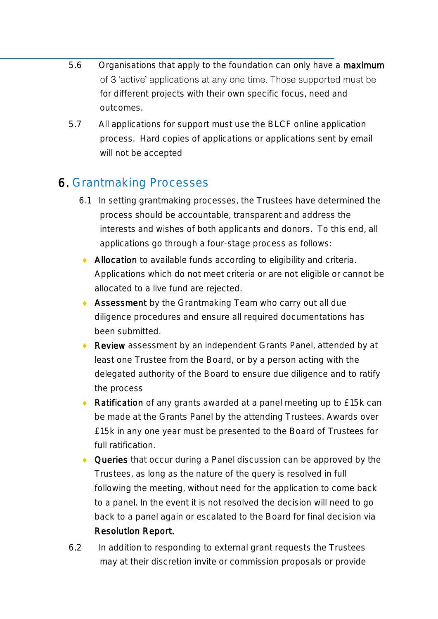- 5.6 Organisations that apply to the foundation can only have a maximum of 3 'active' applications at any one time. Those supported must be for different projects with their own specific focus, need and outcomes.
- 5.7 All applications for support must use the BLCF online application process. Hard copies of applications or applications sent by email will not be accepted

# 6. Grantmaking Processes

- 6.1 In setting grantmaking processes, the Trustees have determined the process should be accountable, transparent and address the interests and wishes of both applicants and donors. To this end, all applications go through a four-stage process as follows:
- Allocation to available funds according to eligibility and criteria. Applications which do not meet criteria or are not eligible or cannot be allocated to a live fund are rejected.
- ◆ Assessment by the Grantmaking Team who carry out all due diligence procedures and ensure all required documentations has been submitted.
- ◆ Review assessment by an independent Grants Panel, attended by at least one Trustee from the Board, or by a person acting with the delegated authority of the Board to ensure due diligence and to ratify the process
- ◆ Ratification of any grants awarded at a panel meeting up to £15k can be made at the Grants Panel by the attending Trustees. Awards over £15k in any one year must be presented to the Board of Trustees for full ratification.
- ◆ Queries that occur during a Panel discussion can be approved by the Trustees, as long as the nature of the query is resolved in full following the meeting, without need for the application to come back to a panel. In the event it is not resolved the decision will need to go back to a panel again or escalated to the Board for final decision via Resolution Report.
- 6.2 In addition to responding to external grant requests the Trustees may at their discretion invite or commission proposals or provide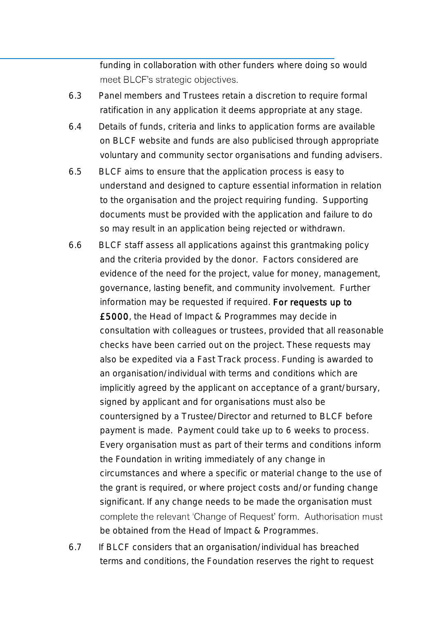funding in collaboration with other funders where doing so would meet BLCF's strategic objectives.

- 6.3 Panel members and Trustees retain a discretion to require formal ratification in any application it deems appropriate at any stage.
- 6.4 Details of funds, criteria and links to application forms are available on BLCF website and funds are also publicised through appropriate voluntary and community sector organisations and funding advisers.
- 6.5 BLCF aims to ensure that the application process is easy to understand and designed to capture essential information in relation to the organisation and the project requiring funding. Supporting documents must be provided with the application and failure to do so may result in an application being rejected or withdrawn.
- 6.6 BLCF staff assess all applications against this grantmaking policy and the criteria provided by the donor. Factors considered are evidence of the need for the project, value for money, management, governance, lasting benefit, and community involvement. Further information may be requested if required. For requests up to £5000, the Head of Impact & Programmes may decide in consultation with colleagues or trustees, provided that all reasonable checks have been carried out on the project. These requests may also be expedited via a Fast Track process. Funding is awarded to an organisation/individual with terms and conditions which are implicitly agreed by the applicant on acceptance of a grant/bursary, signed by applicant and for organisations must also be countersigned by a Trustee/Director and returned to BLCF before payment is made. Payment could take up to 6 weeks to process. Every organisation must as part of their terms and conditions inform the Foundation in writing immediately of any change in circumstances and where a specific or material change to the use of the grant is required, or where project costs and/or funding change significant. If any change needs to be made the organisation must complete the relevant 'Change of Request' form. Authorisation must be obtained from the Head of Impact & Programmes.
- 6.7 If BLCF considers that an organisation/individual has breached terms and conditions, the Foundation reserves the right to request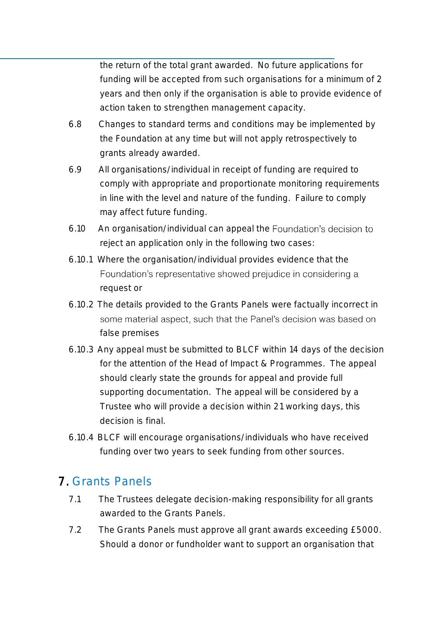the return of the total grant awarded. No future applications for funding will be accepted from such organisations for a minimum of 2 years and then only if the organisation is able to provide evidence of action taken to strengthen management capacity.

- 6.8 Changes to standard terms and conditions may be implemented by the Foundation at any time but will not apply retrospectively to grants already awarded.
- 6.9 All organisations/individual in receipt of funding are required to comply with appropriate and proportionate monitoring requirements in line with the level and nature of the funding. Failure to comply may affect future funding.
- 6.10 An organisation/individual can appeal the reject an application only in the following two cases:
- 6.10.1 Where the organisation/individual provides evidence that the Foundation's representative showed prejudice in considering a request or
- 6.10.2 The details provided to the Grants Panels were factually incorrect in some material aspect, such that the Panel's decision was based on false premises
- 6.10.3 Any appeal must be submitted to BLCF within 14 days of the decision for the attention of the Head of Impact & Programmes. The appeal should clearly state the grounds for appeal and provide full supporting documentation. The appeal will be considered by a Trustee who will provide a decision within 21 working days, this decision is final.
- 6.10.4 BLCF will encourage organisations/individuals who have received funding over two years to seek funding from other sources.

# 7. Grants Panels

- 7.1 The Trustees delegate decision-making responsibility for all grants awarded to the Grants Panels.
- 7.2 The Grants Panels must approve all grant awards exceeding £5000. Should a donor or fundholder want to support an organisation that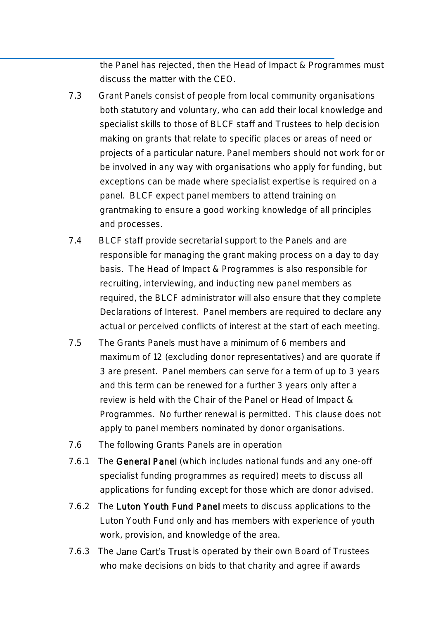the Panel has rejected, then the Head of Impact & Programmes must discuss the matter with the CEO.

- 7.3 Grant Panels consist of people from local community organisations both statutory and voluntary, who can add their local knowledge and specialist skills to those of BLCF staff and Trustees to help decision making on grants that relate to specific places or areas of need or projects of a particular nature. Panel members should not work for or be involved in any way with organisations who apply for funding, but exceptions can be made where specialist expertise is required on a panel. BLCF expect panel members to attend training on grantmaking to ensure a good working knowledge of all principles and processes.
- 7.4 BLCF staff provide secretarial support to the Panels and are responsible for managing the grant making process on a day to day basis. The Head of Impact & Programmes is also responsible for recruiting, interviewing, and inducting new panel members as required, the BLCF administrator will also ensure that they complete Declarations of Interest. Panel members are required to declare any actual or perceived conflicts of interest at the start of each meeting.
- 7.5 The Grants Panels must have a minimum of 6 members and maximum of 12 (excluding donor representatives) and are quorate if 3 are present. Panel members can serve for a term of up to 3 years and this term can be renewed for a further 3 years only after a review is held with the Chair of the Panel or Head of Impact & Programmes. No further renewal is permitted. This clause does not apply to panel members nominated by donor organisations.
- 7.6 The following Grants Panels are in operation
- 7.6.1 The General Panel (which includes national funds and any one-off specialist funding programmes as required) meets to discuss all applications for funding except for those which are donor advised.
- 7.6.2 The Luton Youth Fund Panel meets to discuss applications to the Luton Youth Fund only and has members with experience of youth work, provision, and knowledge of the area.
- 7.6.3 The Jane Cart's Trust is operated by their own Board of Trustees who make decisions on bids to that charity and agree if awards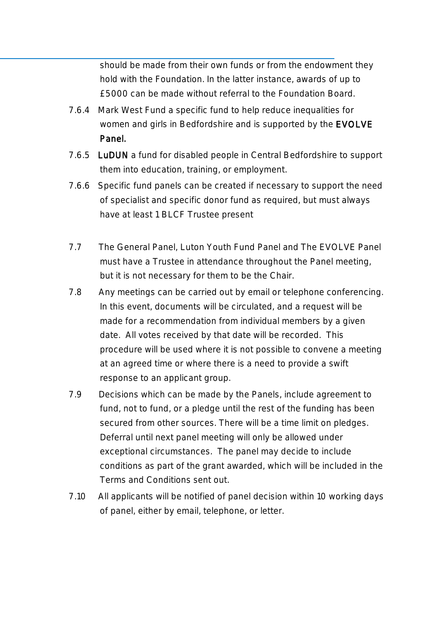should be made from their own funds or from the endowment they hold with the Foundation. In the latter instance, awards of up to £5000 can be made without referral to the Foundation Board.

- 7.6.4 Mark West Fund a specific fund to help reduce inequalities for women and girls in Bedfordshire and is supported by the EVOLVE Panel.
- 7.6.5 LuDUN a fund for disabled people in Central Bedfordshire to support them into education, training, or employment.
- 7.6.6 Specific fund panels can be created if necessary to support the need of specialist and specific donor fund as required, but must always have at least 1 BLCF Trustee present
- 7.7 The General Panel, Luton Youth Fund Panel and The EVOLVE Panel must have a Trustee in attendance throughout the Panel meeting, but it is not necessary for them to be the Chair.
- 7.8 Any meetings can be carried out by email or telephone conferencing. In this event, documents will be circulated, and a request will be made for a recommendation from individual members by a given date. All votes received by that date will be recorded. This procedure will be used where it is not possible to convene a meeting at an agreed time or where there is a need to provide a swift response to an applicant group.
- 7.9 Decisions which can be made by the Panels, include agreement to fund, not to fund, or a pledge until the rest of the funding has been secured from other sources. There will be a time limit on pledges. Deferral until next panel meeting will only be allowed under exceptional circumstances. The panel may decide to include conditions as part of the grant awarded, which will be included in the Terms and Conditions sent out.
- 7.10 All applicants will be notified of panel decision within 10 working days of panel, either by email, telephone, or letter.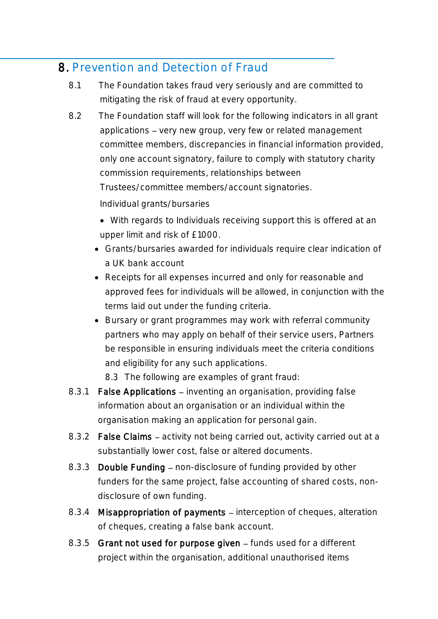#### 8. Prevention and Detection of Fraud

- 8.1 The Foundation takes fraud very seriously and are committed to mitigating the risk of fraud at every opportunity.
- 8.2 The Foundation staff will look for the following indicators in all grant applications - very new group, very few or related management committee members, discrepancies in financial information provided, only one account signatory, failure to comply with statutory charity commission requirements, relationships between Trustees/committee members/account signatories.

Individual grants/bursaries

- With regards to Individuals receiving support this is offered at an upper limit and risk of £1000.
- Grants/bursaries awarded for individuals require clear indication of a UK bank account
- Receipts for all expenses incurred and only for reasonable and approved fees for individuals will be allowed, in conjunction with the terms laid out under the funding criteria.
- Bursary or grant programmes may work with referral community partners who may apply on behalf of their service users, Partners be responsible in ensuring individuals meet the criteria conditions and eligibility for any such applications.

8.3 The following are examples of grant fraud:

- 8.3.1 False Applications inventing an organisation, providing false information about an organisation or an individual within the organisation making an application for personal gain.
- 8.3.2 False Claims activity not being carried out, activity carried out at a substantially lower cost, false or altered documents.
- 8.3.3 Double Funding non-disclosure of funding provided by other funders for the same project, false accounting of shared costs, nondisclosure of own funding.
- 8.3.4 Misappropriation of payments interception of cheques, alteration of cheques, creating a false bank account.
- 8.3.5 Grant not used for purpose given funds used for a different project within the organisation, additional unauthorised items